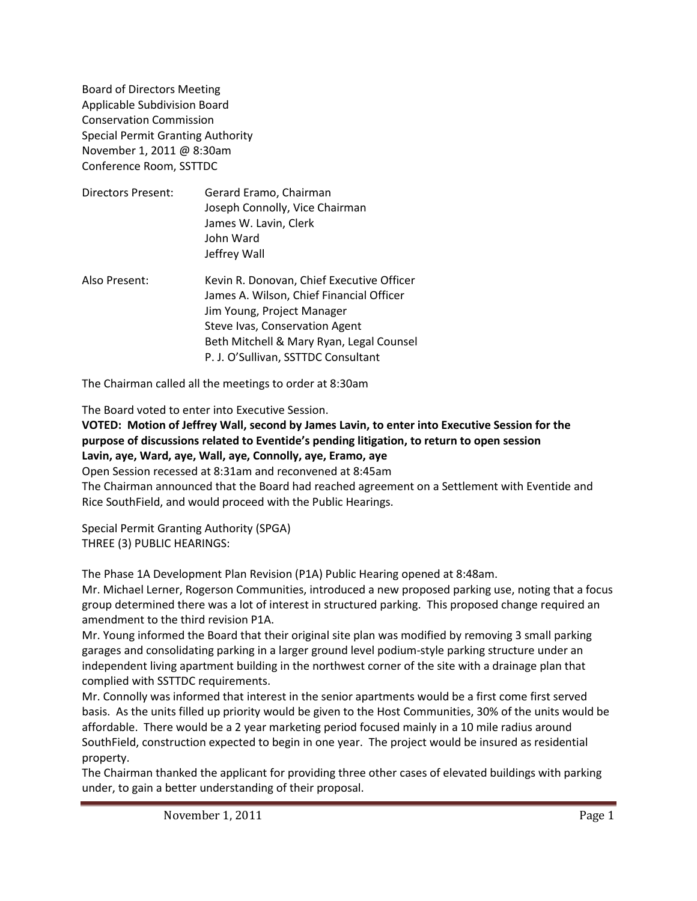Board of Directors Meeting Applicable Subdivision Board Conservation Commission Special Permit Granting Authority November 1, 2011 @ 8:30am Conference Room, SSTTDC

| Directors Present: | Gerard Eramo, Chairman<br>Joseph Connolly, Vice Chairman<br>James W. Lavin, Clerk<br>John Ward<br>Jeffrey Wall |
|--------------------|----------------------------------------------------------------------------------------------------------------|
| Also Present:      | Kevin R. Donovan, Chief Executive Officer<br>James A. Wilson, Chief Financial Officer                          |

Jim Young, Project Manager Steve Ivas, Conservation Agent Beth Mitchell & Mary Ryan, Legal Counsel P. J. O'Sullivan, SSTTDC Consultant

The Chairman called all the meetings to order at 8:30am

The Board voted to enter into Executive Session.

**VOTED: Motion of Jeffrey Wall, second by James Lavin, to enter into Executive Session for the purpose of discussions related to Eventide's pending litigation, to return to open session Lavin, aye, Ward, aye, Wall, aye, Connolly, aye, Eramo, aye**

Open Session recessed at 8:31am and reconvened at 8:45am

The Chairman announced that the Board had reached agreement on a Settlement with Eventide and Rice SouthField, and would proceed with the Public Hearings.

Special Permit Granting Authority (SPGA) THREE (3) PUBLIC HEARINGS:

The Phase 1A Development Plan Revision (P1A) Public Hearing opened at 8:48am.

Mr. Michael Lerner, Rogerson Communities, introduced a new proposed parking use, noting that a focus group determined there was a lot of interest in structured parking. This proposed change required an amendment to the third revision P1A.

Mr. Young informed the Board that their original site plan was modified by removing 3 small parking garages and consolidating parking in a larger ground level podium-style parking structure under an independent living apartment building in the northwest corner of the site with a drainage plan that complied with SSTTDC requirements.

Mr. Connolly was informed that interest in the senior apartments would be a first come first served basis. As the units filled up priority would be given to the Host Communities, 30% of the units would be affordable. There would be a 2 year marketing period focused mainly in a 10 mile radius around SouthField, construction expected to begin in one year. The project would be insured as residential property.

The Chairman thanked the applicant for providing three other cases of elevated buildings with parking under, to gain a better understanding of their proposal.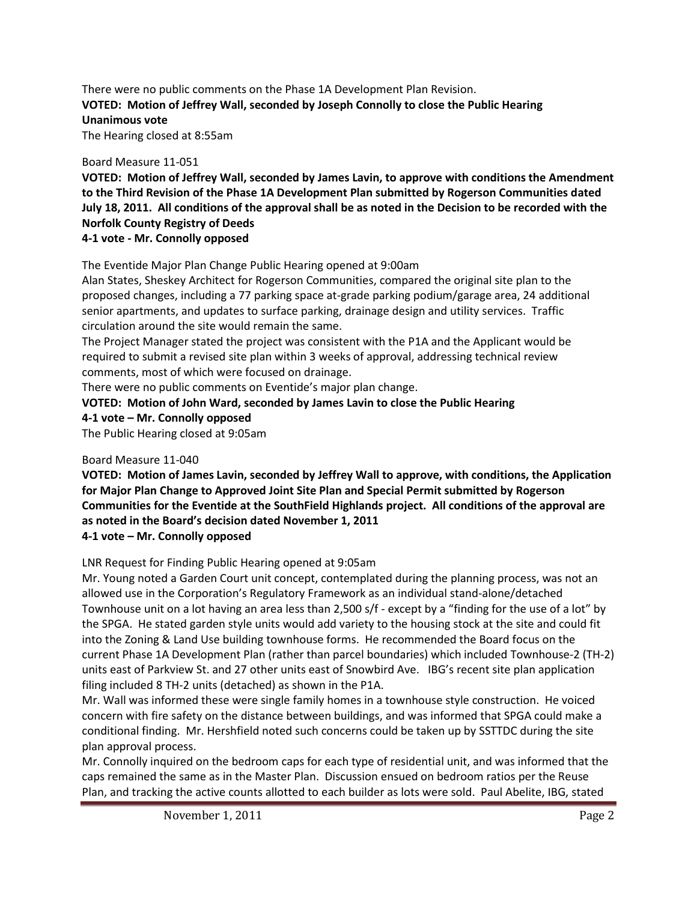# There were no public comments on the Phase 1A Development Plan Revision. **VOTED: Motion of Jeffrey Wall, seconded by Joseph Connolly to close the Public Hearing Unanimous vote**

The Hearing closed at 8:55am

# Board Measure 11-051

**VOTED: Motion of Jeffrey Wall, seconded by James Lavin, to approve with conditions the Amendment to the Third Revision of the Phase 1A Development Plan submitted by Rogerson Communities dated July 18, 2011. All conditions of the approval shall be as noted in the Decision to be recorded with the Norfolk County Registry of Deeds**

# **4-1 vote - Mr. Connolly opposed**

The Eventide Major Plan Change Public Hearing opened at 9:00am

Alan States, Sheskey Architect for Rogerson Communities, compared the original site plan to the proposed changes, including a 77 parking space at-grade parking podium/garage area, 24 additional senior apartments, and updates to surface parking, drainage design and utility services. Traffic circulation around the site would remain the same.

The Project Manager stated the project was consistent with the P1A and the Applicant would be required to submit a revised site plan within 3 weeks of approval, addressing technical review comments, most of which were focused on drainage.

There were no public comments on Eventide's major plan change.

# **VOTED: Motion of John Ward, seconded by James Lavin to close the Public Hearing**

**4-1 vote – Mr. Connolly opposed**

The Public Hearing closed at 9:05am

# Board Measure 11-040

**VOTED: Motion of James Lavin, seconded by Jeffrey Wall to approve, with conditions, the Application for Major Plan Change to Approved Joint Site Plan and Special Permit submitted by Rogerson Communities for the Eventide at the SouthField Highlands project. All conditions of the approval are as noted in the Board's decision dated November 1, 2011**

# **4-1 vote – Mr. Connolly opposed**

LNR Request for Finding Public Hearing opened at 9:05am

Mr. Young noted a Garden Court unit concept, contemplated during the planning process, was not an allowed use in the Corporation's Regulatory Framework as an individual stand-alone/detached Townhouse unit on a lot having an area less than 2,500 s/f - except by a "finding for the use of a lot" by the SPGA. He stated garden style units would add variety to the housing stock at the site and could fit into the Zoning & Land Use building townhouse forms. He recommended the Board focus on the current Phase 1A Development Plan (rather than parcel boundaries) which included Townhouse-2 (TH-2) units east of Parkview St. and 27 other units east of Snowbird Ave. IBG's recent site plan application filing included 8 TH-2 units (detached) as shown in the P1A.

Mr. Wall was informed these were single family homes in a townhouse style construction. He voiced concern with fire safety on the distance between buildings, and was informed that SPGA could make a conditional finding. Mr. Hershfield noted such concerns could be taken up by SSTTDC during the site plan approval process.

Mr. Connolly inquired on the bedroom caps for each type of residential unit, and was informed that the caps remained the same as in the Master Plan. Discussion ensued on bedroom ratios per the Reuse Plan, and tracking the active counts allotted to each builder as lots were sold. Paul Abelite, IBG, stated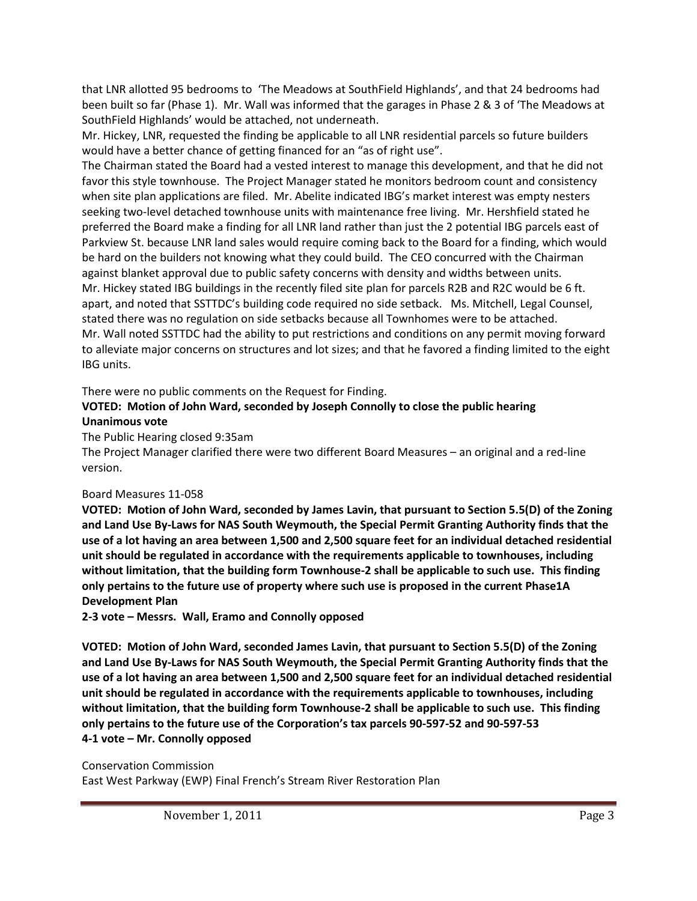that LNR allotted 95 bedrooms to 'The Meadows at SouthField Highlands', and that 24 bedrooms had been built so far (Phase 1). Mr. Wall was informed that the garages in Phase 2 & 3 of 'The Meadows at SouthField Highlands' would be attached, not underneath.

Mr. Hickey, LNR, requested the finding be applicable to all LNR residential parcels so future builders would have a better chance of getting financed for an "as of right use".

The Chairman stated the Board had a vested interest to manage this development, and that he did not favor this style townhouse. The Project Manager stated he monitors bedroom count and consistency when site plan applications are filed. Mr. Abelite indicated IBG's market interest was empty nesters seeking two-level detached townhouse units with maintenance free living. Mr. Hershfield stated he preferred the Board make a finding for all LNR land rather than just the 2 potential IBG parcels east of Parkview St. because LNR land sales would require coming back to the Board for a finding, which would be hard on the builders not knowing what they could build. The CEO concurred with the Chairman against blanket approval due to public safety concerns with density and widths between units. Mr. Hickey stated IBG buildings in the recently filed site plan for parcels R2B and R2C would be 6 ft. apart, and noted that SSTTDC's building code required no side setback. Ms. Mitchell, Legal Counsel, stated there was no regulation on side setbacks because all Townhomes were to be attached. Mr. Wall noted SSTTDC had the ability to put restrictions and conditions on any permit moving forward to alleviate major concerns on structures and lot sizes; and that he favored a finding limited to the eight IBG units.

There were no public comments on the Request for Finding.

### **VOTED: Motion of John Ward, seconded by Joseph Connolly to close the public hearing Unanimous vote**

The Public Hearing closed 9:35am

The Project Manager clarified there were two different Board Measures – an original and a red-line version.

# Board Measures 11-058

**VOTED: Motion of John Ward, seconded by James Lavin, that pursuant to Section 5.5(D) of the Zoning and Land Use By-Laws for NAS South Weymouth, the Special Permit Granting Authority finds that the use of a lot having an area between 1,500 and 2,500 square feet for an individual detached residential unit should be regulated in accordance with the requirements applicable to townhouses, including without limitation, that the building form Townhouse-2 shall be applicable to such use. This finding only pertains to the future use of property where such use is proposed in the current Phase1A Development Plan**

**2-3 vote – Messrs. Wall, Eramo and Connolly opposed**

**VOTED: Motion of John Ward, seconded James Lavin, that pursuant to Section 5.5(D) of the Zoning and Land Use By-Laws for NAS South Weymouth, the Special Permit Granting Authority finds that the use of a lot having an area between 1,500 and 2,500 square feet for an individual detached residential unit should be regulated in accordance with the requirements applicable to townhouses, including without limitation, that the building form Townhouse-2 shall be applicable to such use. This finding only pertains to the future use of the Corporation's tax parcels 90-597-52 and 90-597-53 4-1 vote – Mr. Connolly opposed**

Conservation Commission East West Parkway (EWP) Final French's Stream River Restoration Plan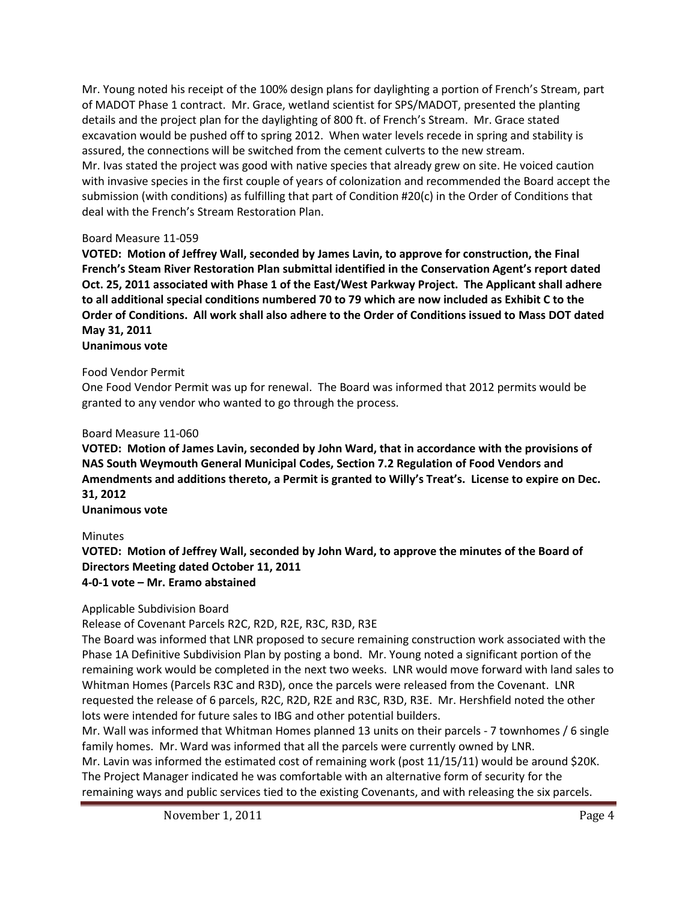Mr. Young noted his receipt of the 100% design plans for daylighting a portion of French's Stream, part of MADOT Phase 1 contract. Mr. Grace, wetland scientist for SPS/MADOT, presented the planting details and the project plan for the daylighting of 800 ft. of French's Stream. Mr. Grace stated excavation would be pushed off to spring 2012. When water levels recede in spring and stability is assured, the connections will be switched from the cement culverts to the new stream. Mr. Ivas stated the project was good with native species that already grew on site. He voiced caution with invasive species in the first couple of years of colonization and recommended the Board accept the submission (with conditions) as fulfilling that part of Condition #20(c) in the Order of Conditions that deal with the French's Stream Restoration Plan.

#### Board Measure 11-059

**VOTED: Motion of Jeffrey Wall, seconded by James Lavin, to approve for construction, the Final French's Steam River Restoration Plan submittal identified in the Conservation Agent's report dated Oct. 25, 2011 associated with Phase 1 of the East/West Parkway Project. The Applicant shall adhere to all additional special conditions numbered 70 to 79 which are now included as Exhibit C to the Order of Conditions. All work shall also adhere to the Order of Conditions issued to Mass DOT dated May 31, 2011**

# **Unanimous vote**

### Food Vendor Permit

One Food Vendor Permit was up for renewal. The Board was informed that 2012 permits would be granted to any vendor who wanted to go through the process.

### Board Measure 11-060

**VOTED: Motion of James Lavin, seconded by John Ward, that in accordance with the provisions of NAS South Weymouth General Municipal Codes, Section 7.2 Regulation of Food Vendors and Amendments and additions thereto, a Permit is granted to Willy's Treat's. License to expire on Dec. 31, 2012**

**Unanimous vote**

# Minutes

**VOTED: Motion of Jeffrey Wall, seconded by John Ward, to approve the minutes of the Board of Directors Meeting dated October 11, 2011 4-0-1 vote – Mr. Eramo abstained**

Applicable Subdivision Board

Release of Covenant Parcels R2C, R2D, R2E, R3C, R3D, R3E

The Board was informed that LNR proposed to secure remaining construction work associated with the Phase 1A Definitive Subdivision Plan by posting a bond. Mr. Young noted a significant portion of the remaining work would be completed in the next two weeks. LNR would move forward with land sales to Whitman Homes (Parcels R3C and R3D), once the parcels were released from the Covenant. LNR requested the release of 6 parcels, R2C, R2D, R2E and R3C, R3D, R3E. Mr. Hershfield noted the other lots were intended for future sales to IBG and other potential builders.

Mr. Wall was informed that Whitman Homes planned 13 units on their parcels - 7 townhomes / 6 single family homes. Mr. Ward was informed that all the parcels were currently owned by LNR. Mr. Lavin was informed the estimated cost of remaining work (post 11/15/11) would be around \$20K.

The Project Manager indicated he was comfortable with an alternative form of security for the remaining ways and public services tied to the existing Covenants, and with releasing the six parcels.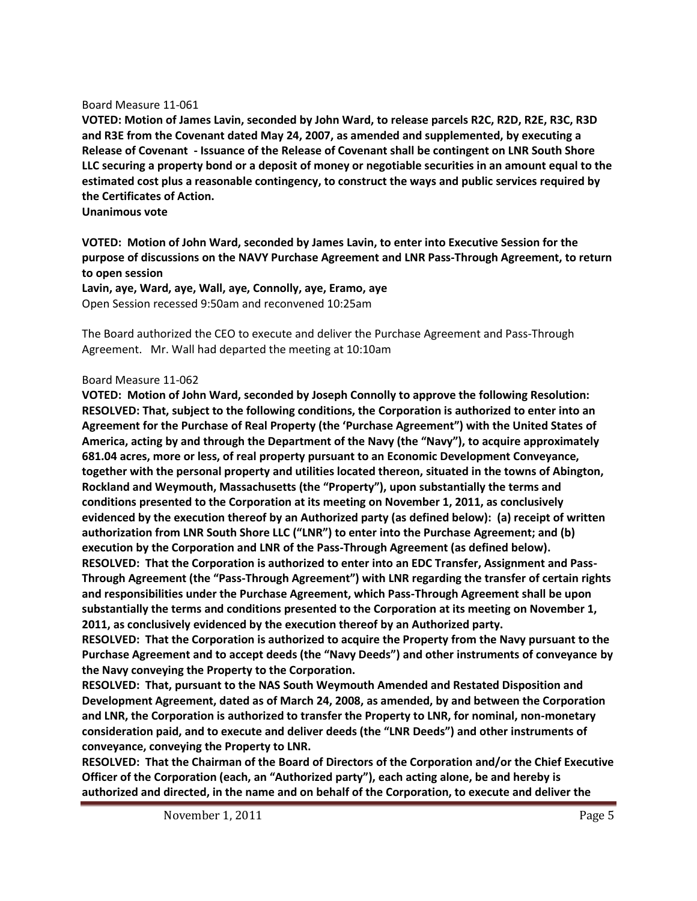#### Board Measure 11-061

**VOTED: Motion of James Lavin, seconded by John Ward, to release parcels R2C, R2D, R2E, R3C, R3D and R3E from the Covenant dated May 24, 2007, as amended and supplemented, by executing a Release of Covenant - Issuance of the Release of Covenant shall be contingent on LNR South Shore LLC securing a property bond or a deposit of money or negotiable securities in an amount equal to the estimated cost plus a reasonable contingency, to construct the ways and public services required by the Certificates of Action.**

**Unanimous vote**

**VOTED: Motion of John Ward, seconded by James Lavin, to enter into Executive Session for the purpose of discussions on the NAVY Purchase Agreement and LNR Pass-Through Agreement, to return to open session**

**Lavin, aye, Ward, aye, Wall, aye, Connolly, aye, Eramo, aye** Open Session recessed 9:50am and reconvened 10:25am

The Board authorized the CEO to execute and deliver the Purchase Agreement and Pass-Through Agreement. Mr. Wall had departed the meeting at 10:10am

#### Board Measure 11-062

**VOTED: Motion of John Ward, seconded by Joseph Connolly to approve the following Resolution: RESOLVED: That, subject to the following conditions, the Corporation is authorized to enter into an Agreement for the Purchase of Real Property (the 'Purchase Agreement") with the United States of America, acting by and through the Department of the Navy (the "Navy"), to acquire approximately 681.04 acres, more or less, of real property pursuant to an Economic Development Conveyance, together with the personal property and utilities located thereon, situated in the towns of Abington, Rockland and Weymouth, Massachusetts (the "Property"), upon substantially the terms and conditions presented to the Corporation at its meeting on November 1, 2011, as conclusively evidenced by the execution thereof by an Authorized party (as defined below): (a) receipt of written authorization from LNR South Shore LLC ("LNR") to enter into the Purchase Agreement; and (b) execution by the Corporation and LNR of the Pass-Through Agreement (as defined below). RESOLVED: That the Corporation is authorized to enter into an EDC Transfer, Assignment and Pass-Through Agreement (the "Pass-Through Agreement") with LNR regarding the transfer of certain rights and responsibilities under the Purchase Agreement, which Pass-Through Agreement shall be upon substantially the terms and conditions presented to the Corporation at its meeting on November 1, 2011, as conclusively evidenced by the execution thereof by an Authorized party.**

**RESOLVED: That the Corporation is authorized to acquire the Property from the Navy pursuant to the Purchase Agreement and to accept deeds (the "Navy Deeds") and other instruments of conveyance by the Navy conveying the Property to the Corporation.**

**RESOLVED: That, pursuant to the NAS South Weymouth Amended and Restated Disposition and Development Agreement, dated as of March 24, 2008, as amended, by and between the Corporation and LNR, the Corporation is authorized to transfer the Property to LNR, for nominal, non-monetary consideration paid, and to execute and deliver deeds (the "LNR Deeds") and other instruments of conveyance, conveying the Property to LNR.**

**RESOLVED: That the Chairman of the Board of Directors of the Corporation and/or the Chief Executive Officer of the Corporation (each, an "Authorized party"), each acting alone, be and hereby is authorized and directed, in the name and on behalf of the Corporation, to execute and deliver the**